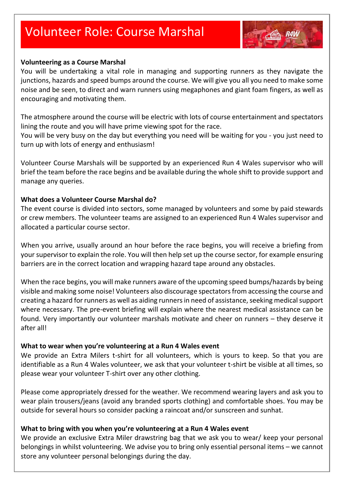# Volunteer Role: Course Marshal



#### **Volunteering as a Course Marshal**

You will be undertaking a vital role in managing and supporting runners as they navigate the junctions, hazards and speed bumps around the course. We will give you all you need to make some noise and be seen, to direct and warn runners using megaphones and giant foam fingers, as well as encouraging and motivating them.

The atmosphere around the course will be electric with lots of course entertainment and spectators lining the route and you will have prime viewing spot for the race.

You will be very busy on the day but everything you need will be waiting for you - you just need to turn up with lots of energy and enthusiasm!

Volunteer Course Marshals will be supported by an experienced Run 4 Wales supervisor who will brief the team before the race begins and be available during the whole shift to provide support and manage any queries.

#### **What does a Volunteer Course Marshal do?**

The event course is divided into sectors, some managed by volunteers and some by paid stewards or crew members. The volunteer teams are assigned to an experienced Run 4 Wales supervisor and allocated a particular course sector.

When you arrive, usually around an hour before the race begins, you will receive a briefing from your supervisor to explain the role. You will then help set up the course sector, for example ensuring barriers are in the correct location and wrapping hazard tape around any obstacles.

When the race begins, you will make runners aware of the upcoming speed bumps/hazards by being visible and making some noise! Volunteers also discourage spectators from accessing the course and creating a hazard for runners as well as aiding runners in need of assistance, seeking medical support where necessary. The pre-event briefing will explain where the nearest medical assistance can be found. Very importantly our volunteer marshals motivate and cheer on runners – they deserve it after all!

#### **What to wear when you're volunteering at a Run 4 Wales event**

We provide an Extra Milers t-shirt for all volunteers, which is yours to keep. So that you are identifiable as a Run 4 Wales volunteer, we ask that your volunteer t-shirt be visible at all times, so please wear your volunteer T-shirt over any other clothing.

Please come appropriately dressed for the weather. We recommend wearing layers and ask you to wear plain trousers/jeans (avoid any branded sports clothing) and comfortable shoes. You may be outside for several hours so consider packing a raincoat and/or sunscreen and sunhat.

#### **What to bring with you when you're volunteering at a Run 4 Wales event**

We provide an exclusive Extra Miler drawstring bag that we ask you to wear/ keep your personal belongings in whilst volunteering. We advise you to bring only essential personal items – we cannot store any volunteer personal belongings during the day.